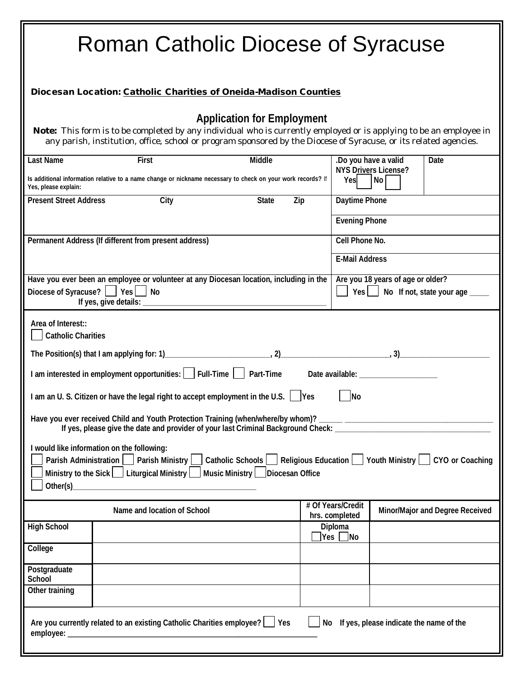| <b>Roman Catholic Diocese of Syracuse</b>                                                                                                                                                                                                                                                                                                                                                                                                                                                                                                                                                                                                                                                |                                                                                                                             |                     |     |                                                                                 |                                                           |                                        |  |  |
|------------------------------------------------------------------------------------------------------------------------------------------------------------------------------------------------------------------------------------------------------------------------------------------------------------------------------------------------------------------------------------------------------------------------------------------------------------------------------------------------------------------------------------------------------------------------------------------------------------------------------------------------------------------------------------------|-----------------------------------------------------------------------------------------------------------------------------|---------------------|-----|---------------------------------------------------------------------------------|-----------------------------------------------------------|----------------------------------------|--|--|
| Diocesan Location: Catholic Charities of Oneida-Madison Counties                                                                                                                                                                                                                                                                                                                                                                                                                                                                                                                                                                                                                         |                                                                                                                             |                     |     |                                                                                 |                                                           |                                        |  |  |
| <b>Application for Employment</b><br>Note: This form is to be completed by any individual who is currently employed or is applying to be an employee in<br>any parish, institution, office, school or program sponsored by the Diocese of Syracuse, or its related agencies.                                                                                                                                                                                                                                                                                                                                                                                                             |                                                                                                                             |                     |     |                                                                                 |                                                           |                                        |  |  |
| <b>Last Name</b><br>Yes, please explain:                                                                                                                                                                                                                                                                                                                                                                                                                                                                                                                                                                                                                                                 | <b>First</b><br>Is additional information relative to a name change or nickname necessary to check on your work records? If | <b>Middle</b>       |     | Yes                                                                             | .Do you have a valid<br><b>NYS Drivers License?</b><br>No | <b>Date</b>                            |  |  |
| <b>Present Street Address</b>                                                                                                                                                                                                                                                                                                                                                                                                                                                                                                                                                                                                                                                            | City                                                                                                                        | <b>State</b><br>Zip |     | <b>Daytime Phone</b>                                                            |                                                           |                                        |  |  |
|                                                                                                                                                                                                                                                                                                                                                                                                                                                                                                                                                                                                                                                                                          |                                                                                                                             |                     |     | <b>Evening Phone</b>                                                            |                                                           |                                        |  |  |
| Permanent Address (If different from present address)                                                                                                                                                                                                                                                                                                                                                                                                                                                                                                                                                                                                                                    |                                                                                                                             |                     |     | <b>Cell Phone No.</b>                                                           |                                                           |                                        |  |  |
|                                                                                                                                                                                                                                                                                                                                                                                                                                                                                                                                                                                                                                                                                          |                                                                                                                             |                     |     | <b>E-Mail Address</b>                                                           |                                                           |                                        |  |  |
| Have you ever been an employee or volunteer at any Diocesan location, including in the<br>Diocese of Syracuse?     Yes     No<br>If yes, give details: _____                                                                                                                                                                                                                                                                                                                                                                                                                                                                                                                             |                                                                                                                             |                     |     | Are you 18 years of age or older?<br>$Yes$  <br>No If not, state your age _____ |                                                           |                                        |  |  |
| Area of Interest::<br><b>Catholic Charities</b><br>Date available: __________<br>I am interested in employment opportunities:   Full-Time   Part-Time<br>I am an U. S. Citizen or have the legal right to accept employment in the U.S. $\Box$ Yes<br>No<br>Have you ever received Child and Youth Protection Training (when/where/by whom)? ______ ______________________<br>If yes, please give the date and provider of your last Criminal Background Check: __________<br>I would like information on the following:<br>Catholic Schools   Religious Education   Youth Ministry   CYO or Coaching<br>Parish Administration     Parish Ministry<br>Music Ministry     Diocesan Office |                                                                                                                             |                     |     |                                                                                 |                                                           |                                        |  |  |
| Ministry to the Sick $\Box$ Liturgical Ministry $\Box$                                                                                                                                                                                                                                                                                                                                                                                                                                                                                                                                                                                                                                   |                                                                                                                             |                     |     |                                                                                 |                                                           |                                        |  |  |
|                                                                                                                                                                                                                                                                                                                                                                                                                                                                                                                                                                                                                                                                                          | Name and location of School                                                                                                 |                     |     | # Of Years/Credit<br>hrs. completed                                             |                                                           | <b>Minor/Major and Degree Received</b> |  |  |
| <b>High School</b>                                                                                                                                                                                                                                                                                                                                                                                                                                                                                                                                                                                                                                                                       |                                                                                                                             |                     | Yes | <b>Diploma</b><br> No                                                           |                                                           |                                        |  |  |
| College                                                                                                                                                                                                                                                                                                                                                                                                                                                                                                                                                                                                                                                                                  |                                                                                                                             |                     |     |                                                                                 |                                                           |                                        |  |  |
| Postgraduate<br><b>School</b>                                                                                                                                                                                                                                                                                                                                                                                                                                                                                                                                                                                                                                                            |                                                                                                                             |                     |     |                                                                                 |                                                           |                                        |  |  |
| Other training                                                                                                                                                                                                                                                                                                                                                                                                                                                                                                                                                                                                                                                                           |                                                                                                                             |                     |     |                                                                                 |                                                           |                                        |  |  |
| Are you currently related to an existing Catholic Charities employee?   Yes<br>No If yes, please indicate the name of the                                                                                                                                                                                                                                                                                                                                                                                                                                                                                                                                                                |                                                                                                                             |                     |     |                                                                                 |                                                           |                                        |  |  |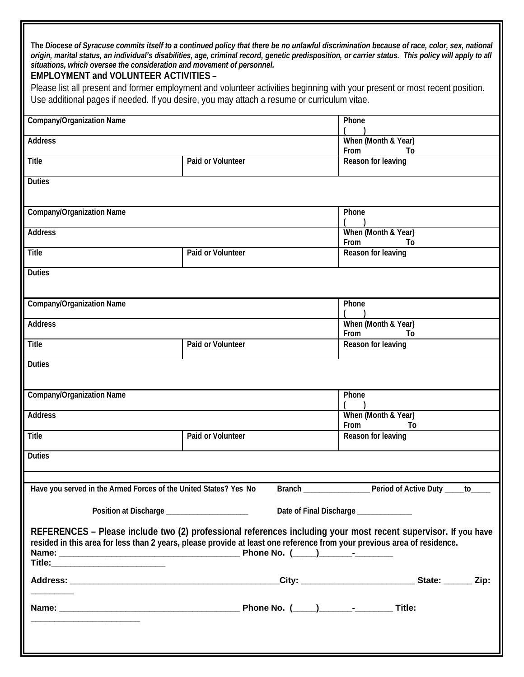**The** *Diocese of Syracuse commits itself to a continued policy that there be no unlawful discrimination because of race, color, sex, national origin, marital status, an individual's disabilities, age, criminal record, genetic predisposition, or carrier status. This policy will apply to all situations, which oversee the consideration and movement of personnel.* 

## **EMPLOYMENT and VOLUNTEER ACTIVITIES –**

Please list all present and former employment and volunteer activities beginning with your present or most recent position. Use additional pages if needed. If you desire, you may attach a resume or curriculum vitae.

| <b>Company/Organization Name</b>                                 |                                                                                                                         | <b>Phone</b>                                                                                                   |  |  |  |
|------------------------------------------------------------------|-------------------------------------------------------------------------------------------------------------------------|----------------------------------------------------------------------------------------------------------------|--|--|--|
| <b>Address</b>                                                   |                                                                                                                         | When (Month & Year)<br><b>From</b><br>To                                                                       |  |  |  |
| <b>Title</b>                                                     | <b>Paid or Volunteer</b>                                                                                                | <b>Reason for leaving</b>                                                                                      |  |  |  |
| <b>Duties</b>                                                    |                                                                                                                         |                                                                                                                |  |  |  |
|                                                                  |                                                                                                                         |                                                                                                                |  |  |  |
| <b>Company/Organization Name</b>                                 |                                                                                                                         | <b>Phone</b>                                                                                                   |  |  |  |
| <b>Address</b>                                                   |                                                                                                                         | When (Month & Year)<br>From<br>To                                                                              |  |  |  |
| <b>Title</b>                                                     | <b>Paid or Volunteer</b>                                                                                                | <b>Reason for leaving</b>                                                                                      |  |  |  |
| <b>Duties</b>                                                    |                                                                                                                         |                                                                                                                |  |  |  |
|                                                                  |                                                                                                                         |                                                                                                                |  |  |  |
| <b>Company/Organization Name</b>                                 |                                                                                                                         | Phone                                                                                                          |  |  |  |
| <b>Address</b>                                                   |                                                                                                                         | When (Month & Year)<br><b>From</b><br>To                                                                       |  |  |  |
| <b>Title</b>                                                     | <b>Paid or Volunteer</b>                                                                                                | <b>Reason for leaving</b>                                                                                      |  |  |  |
| <b>Duties</b>                                                    |                                                                                                                         |                                                                                                                |  |  |  |
|                                                                  |                                                                                                                         |                                                                                                                |  |  |  |
| <b>Company/Organization Name</b>                                 |                                                                                                                         | Phone                                                                                                          |  |  |  |
| <b>Address</b>                                                   |                                                                                                                         | When (Month & Year)<br><b>From</b><br>Τo                                                                       |  |  |  |
| <b>Title</b>                                                     | <b>Paid or Volunteer</b>                                                                                                | <b>Reason for leaving</b>                                                                                      |  |  |  |
| <b>Duties</b>                                                    |                                                                                                                         |                                                                                                                |  |  |  |
|                                                                  |                                                                                                                         |                                                                                                                |  |  |  |
| Have you served in the Armed Forces of the United States? Yes No | <b>Branch</b>                                                                                                           | Period of Active Duty _<br>to_                                                                                 |  |  |  |
| Position at Discharge _____________________                      |                                                                                                                         | Date of Final Discharge ____________                                                                           |  |  |  |
|                                                                  |                                                                                                                         | REFERENCES - Please include two (2) professional references including your most recent supervisor. If you have |  |  |  |
|                                                                  | resided in this area for less than 2 years, please provide at least one reference from your previous area of residence. |                                                                                                                |  |  |  |
|                                                                  |                                                                                                                         |                                                                                                                |  |  |  |
|                                                                  |                                                                                                                         |                                                                                                                |  |  |  |
|                                                                  |                                                                                                                         |                                                                                                                |  |  |  |
|                                                                  |                                                                                                                         |                                                                                                                |  |  |  |
|                                                                  |                                                                                                                         |                                                                                                                |  |  |  |
|                                                                  |                                                                                                                         |                                                                                                                |  |  |  |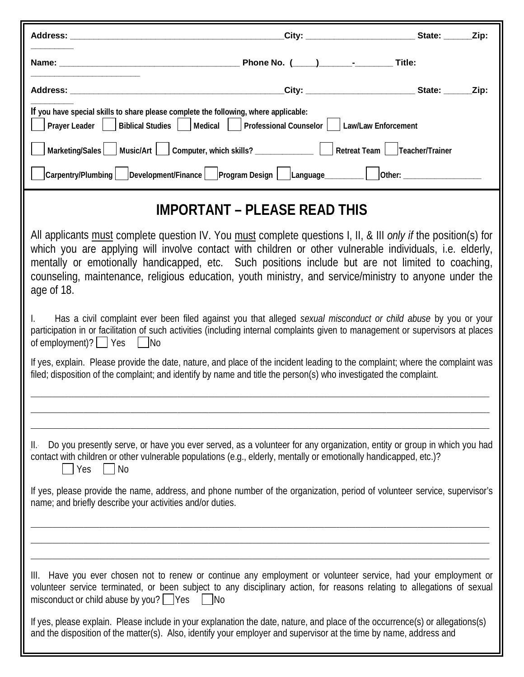| Address: Analysis and the contract of the contract of the contract of the contract of the contract of the contract of the contract of the contract of the contract of the contract of the contract of the contract of the cont                                                                                                                                                                                                                          |                                              |  |
|---------------------------------------------------------------------------------------------------------------------------------------------------------------------------------------------------------------------------------------------------------------------------------------------------------------------------------------------------------------------------------------------------------------------------------------------------------|----------------------------------------------|--|
|                                                                                                                                                                                                                                                                                                                                                                                                                                                         |                                              |  |
|                                                                                                                                                                                                                                                                                                                                                                                                                                                         |                                              |  |
| If you have special skills to share please complete the following, where applicable:<br><b>Medical</b><br><b>Biblical Studies</b><br><b>Prayer Leader</b>                                                                                                                                                                                                                                                                                               | Professional Counselor   Law/Law Enforcement |  |
| Marketing/Sales   Music/Art   Computer, which skills? ____________   Retreat Team   Teacher/Trainer                                                                                                                                                                                                                                                                                                                                                     |                                              |  |
| Carpentry/Plumbing   Development/Finance   Program Design   Language________   Other: _____________                                                                                                                                                                                                                                                                                                                                                     |                                              |  |
|                                                                                                                                                                                                                                                                                                                                                                                                                                                         | <b>IMPORTANT – PLEASE READ THIS</b>          |  |
| All applicants must complete question IV. You must complete questions I, II, & III only if the position(s) for<br>which you are applying will involve contact with children or other vulnerable individuals, i.e. elderly,<br>mentally or emotionally handicapped, etc. Such positions include but are not limited to coaching,<br>counseling, maintenance, religious education, youth ministry, and service/ministry to anyone under the<br>age of 18. |                                              |  |
| Has a civil complaint ever been filed against you that alleged sexual misconduct or child abuse by you or your<br>participation in or facilitation of such activities (including internal complaints given to management or supervisors at places<br>of employment)? $\Box$ Yes $\Box$ No                                                                                                                                                               |                                              |  |
| If yes, explain. Please provide the date, nature, and place of the incident leading to the complaint; where the complaint was<br>filed; disposition of the complaint; and identify by name and title the person(s) who investigated the complaint.                                                                                                                                                                                                      |                                              |  |
| Do you presently serve, or have you ever served, as a volunteer for any organization, entity or group in which you had<br>II.-<br>contact with children or other vulnerable populations (e.g., elderly, mentally or emotionally handicapped, etc.)?<br>Yes<br>No                                                                                                                                                                                        |                                              |  |
| If yes, please provide the name, address, and phone number of the organization, period of volunteer service, supervisor's<br>name; and briefly describe your activities and/or duties.                                                                                                                                                                                                                                                                  |                                              |  |
| III. Have you ever chosen not to renew or continue any employment or volunteer service, had your employment or<br>volunteer service terminated, or been subject to any disciplinary action, for reasons relating to allegations of sexual<br>misconduct or child abuse by you?   Yes<br>– INo                                                                                                                                                           |                                              |  |
| If yes, please explain. Please include in your explanation the date, nature, and place of the occurrence(s) or allegations(s)<br>and the disposition of the matter(s). Also, identify your employer and supervisor at the time by name, address and                                                                                                                                                                                                     |                                              |  |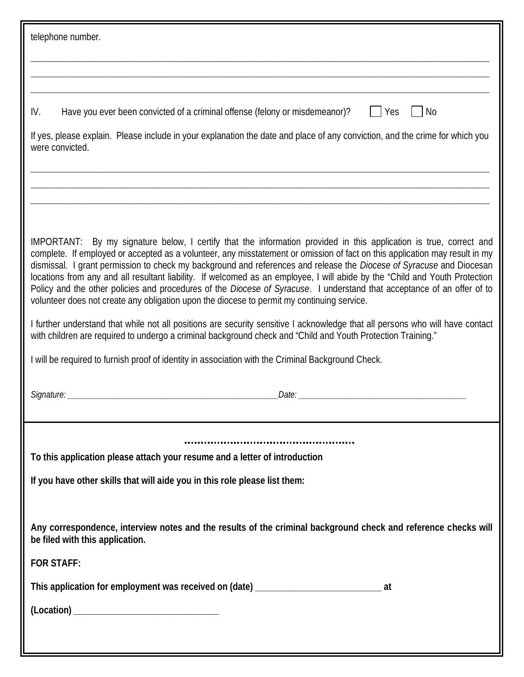| telephone number.                                                                                                                                                                                                                                                                                                                                                                                                                                                                                                                                                                                                                                                                                                                 |  |  |  |  |
|-----------------------------------------------------------------------------------------------------------------------------------------------------------------------------------------------------------------------------------------------------------------------------------------------------------------------------------------------------------------------------------------------------------------------------------------------------------------------------------------------------------------------------------------------------------------------------------------------------------------------------------------------------------------------------------------------------------------------------------|--|--|--|--|
|                                                                                                                                                                                                                                                                                                                                                                                                                                                                                                                                                                                                                                                                                                                                   |  |  |  |  |
|                                                                                                                                                                                                                                                                                                                                                                                                                                                                                                                                                                                                                                                                                                                                   |  |  |  |  |
| Have you ever been convicted of a criminal offense (felony or misdemeanor)?<br>IV.<br>Yes<br>No                                                                                                                                                                                                                                                                                                                                                                                                                                                                                                                                                                                                                                   |  |  |  |  |
| If yes, please explain. Please include in your explanation the date and place of any conviction, and the crime for which you<br>were convicted.                                                                                                                                                                                                                                                                                                                                                                                                                                                                                                                                                                                   |  |  |  |  |
|                                                                                                                                                                                                                                                                                                                                                                                                                                                                                                                                                                                                                                                                                                                                   |  |  |  |  |
|                                                                                                                                                                                                                                                                                                                                                                                                                                                                                                                                                                                                                                                                                                                                   |  |  |  |  |
| IMPORTANT: By my signature below, I certify that the information provided in this application is true, correct and<br>complete. If employed or accepted as a volunteer, any misstatement or omission of fact on this application may result in my<br>dismissal. I grant permission to check my background and references and release the Diocese of Syracuse and Diocesan<br>locations from any and all resultant liability. If welcomed as an employee, I will abide by the "Child and Youth Protection<br>Policy and the other policies and procedures of the Diocese of Syracuse. I understand that acceptance of an offer of to<br>volunteer does not create any obligation upon the diocese to permit my continuing service. |  |  |  |  |
| I further understand that while not all positions are security sensitive I acknowledge that all persons who will have contact<br>with children are required to undergo a criminal background check and "Child and Youth Protection Training."                                                                                                                                                                                                                                                                                                                                                                                                                                                                                     |  |  |  |  |
| I will be required to furnish proof of identity in association with the Criminal Background Check.                                                                                                                                                                                                                                                                                                                                                                                                                                                                                                                                                                                                                                |  |  |  |  |
| Signature:<br>Date: <b>Date</b>                                                                                                                                                                                                                                                                                                                                                                                                                                                                                                                                                                                                                                                                                                   |  |  |  |  |
|                                                                                                                                                                                                                                                                                                                                                                                                                                                                                                                                                                                                                                                                                                                                   |  |  |  |  |
| To this application please attach your resume and a letter of introduction                                                                                                                                                                                                                                                                                                                                                                                                                                                                                                                                                                                                                                                        |  |  |  |  |
| If you have other skills that will aide you in this role please list them:                                                                                                                                                                                                                                                                                                                                                                                                                                                                                                                                                                                                                                                        |  |  |  |  |
| Any correspondence, interview notes and the results of the criminal background check and reference checks will<br>be filed with this application.                                                                                                                                                                                                                                                                                                                                                                                                                                                                                                                                                                                 |  |  |  |  |
| <b>FOR STAFF:</b>                                                                                                                                                                                                                                                                                                                                                                                                                                                                                                                                                                                                                                                                                                                 |  |  |  |  |
| This application for employment was received on (date) _________________________<br>at                                                                                                                                                                                                                                                                                                                                                                                                                                                                                                                                                                                                                                            |  |  |  |  |
|                                                                                                                                                                                                                                                                                                                                                                                                                                                                                                                                                                                                                                                                                                                                   |  |  |  |  |
|                                                                                                                                                                                                                                                                                                                                                                                                                                                                                                                                                                                                                                                                                                                                   |  |  |  |  |